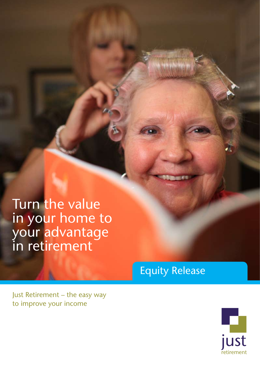Turn the value in your home to your advantage in retirement

Equity Release



Just Retirement – the easy way to improve your income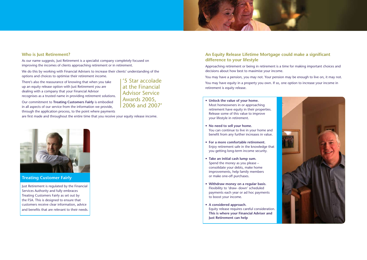# **Who is Just Retirement?**

As our name suggests, Just Retirement is a specialist company completely focused on improving the incomes of clients approaching retirement or in retirement.

We do this by working with Financial Advisers to increase their clients' understanding of the options and choices to optimise their retirement income.

There's also the reassurance of knowing that when you take up an equity release option with Just Retirement you are dealing with a company that your Financial Advisor recognises as a trusted name in providing retirement solutions.

Our commitment to **Treating Customers Fairly** is embodied in all aspects of our service from the information we provide, through the application process, to the point where payments

are first made and throughout the entire time that you receive your equity release income.

# **An Equity Release Lifetime Mortgage could make a significant difference to your lifestyle**

Approaching retirement or being in retirement is a time for making important choices and decisions about how best to maximise your income.

You may have a pension, you may not. Your pension may be enough to live on, it may not. You may have equity in a property you own. If so, one option to increase your income in

retirement is equity release.

- **• Unlock the value of your home.** Most homeowners in or approaching retirement have equity in their properties. Release some of this value to improve your lifestyle in retirement.
- **• No need to sell your home.** You can continue to live in your home and benefit from any further increases in value.
- **• For a more comfortable retirement.** Enjoy retirement safe in the knowledge that you getting long-term income security.
- **• Take an initial cash lump sum.** Spend the money as you please – consolidate your debts, make home improvements, help family members or make one-off purchases.
- **• Withdraw money on a regular basis.** Flexibility to 'draw- down' scheduled payments each year or ad hoc payments to boost your income.
- **• A considered approach.** Equity release requires careful consideration. **This is where your Financial Adviser and Just Retirement can help**





**Treating Customer Fairly**

Just Retirement is regulated by the Financial Services Authority and fully embraces Treating Customers Fairly as set out by the FSA. This is designed to ensure that customers receive clear information, advice and benefits that are relevant to their needs.

'5 Star accolade at the Financial Advisor Service Awards 2005, 2006 and 2007'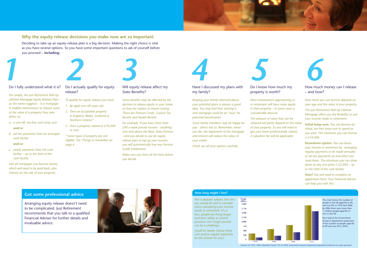

## **Why the equity release decisions you make now are so important**

Deciding to take up an equity release plan is a big decision. Making the right choice is vital as you have several options. So you have some important questions to ask of yourself before you proceed – **including:** 



## Do I fully understand what it is?

*Put simply, the Just Retirement Roll-Up Lifetime Mortgage Equity Release Plan – as the name suggests – is a mortgage. It enables homeowners to release some of the value of a property they own either as;*

- *a. a one-off, tax-free cash lump sum*  **and/or**
- *b. ad hoc payments from an arranged cash facility*

#### **and/or**

*c. yearly payments from the cash facility – up to the limit of the cash facility* 

#### *Like all mortgages you borrow money which will need to be paid back, plus interest on the sale of your property.*

## Do I actually qualify for equity release?

*To qualify for equity release you must:*

- *1. Be aged over 60 years old.*
- *2. Own an acceptable property in England, Wales, Scotland or Northern Ireland.\**
- *3. Own a property valued at £70,000 or over.*
- *\* Some types of property are not eligible. See 'Things to remember on page 6*



#### Have I discussed my plans with my family?

*Keeping your family informed about your potential plans is always a good idea. You may find that starting a new mortgage could be an 'issue' for potential beneficiaries.* 

*Some family members may be happy for you - others not so. Remember, when you die, the repayment of the mortgage and interest will reduce the value of your estate.*

*Check out all your options carefully.* 

## Will equity release affect my State Benefits?

This chart shows the number of people in the UK aged 85 to 89, and over 90, in 1976 and 2006. By 2006 there were more than 1.1million people aged 85 or  $\overline{\mathsf{over}}$  in the UK.

*Some benefits may be affected by the decision to release equity in your home, as they are subject to means testing. These are Pension Credit, Council Tax benefit and Health Benefit.*

*For example. If you have more than £90 a week private income - anything over and above the Basic State Pension - and you decide to use an equity release plan to top up your income, you will automatically lose any Pension Credit entitlement.* 

*Make sure you have all the facts before you decide.* 

## Do I know how much my property is worth?

*Most homeowners approaching or in retirement will have some equity in their property – in some cases a considerable amount.*

### How much money can I release – and how?

*The amount of value that can be released will partly depend on the value of your property. So you will need to get your home professionally valued. A valuation fee will be applicable.*  **Initial lump-sum:** *You can borrow an initial, tax-free lump-sum to spend as you wish. The minimum you can borrow is £10,000.*

*How much you can borrow depends on your age and the value of your property. The Just Retirement Roll-Up Lifetime Mortgage offers you the flexibility to suit your income needs in retirement.*

**Drawdown option:** *You can boost your income in retirement by arranging regular payments to be made annually or ad hoc payments as and when you need them. The minimum you can draw down at any one point is £2,000 – up to the total of the cash facility.*

**How?** *You will need to complete an application form. Your Financial Adviser can help you with this.*







Now look at the Government Actuary's Department projections of the number of people aged 85 to 89 and over 90 in 2036.

Sources: For 1976 - 2006, Population Trends 130. For 2036, Government Actuaries Department population projections by yearly age band

Arranging equity release doesn't need to be complicated. Just Retirement recommends that you talk to a qualified Financial Adviser for further details and invaluable advice.

*Not a popular subject, but one you would do well to consider when calculating your income needs in retirement. It's a fact, people are living longer and their ability to stretch pensions over longer periods can be a challenge.* 

*Could an equity release lump sum and/or regular payments be the answer for you?*



People<br>(000's) 2,000

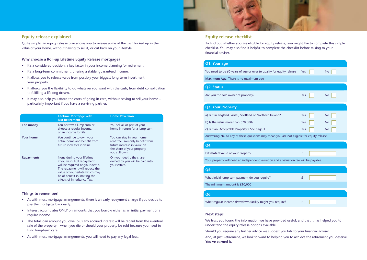|                   | <b>Lifetime Mortgage with</b><br><b>Just Retirement</b>                                                                                                                                                                        | <b>Home Reversion</b>                                                                                                                        |
|-------------------|--------------------------------------------------------------------------------------------------------------------------------------------------------------------------------------------------------------------------------|----------------------------------------------------------------------------------------------------------------------------------------------|
| The money         | You borrow a lump sum or<br>choose a regular income.<br>or an income for life.                                                                                                                                                 | You sell all or part of your<br>home in return for a lump sum                                                                                |
| <b>Your home</b>  | You continue to own your<br>entire home and benefit from<br>future increases in value.                                                                                                                                         | You can stay in your home<br>rent free. You only benefit from<br>future increase in value on<br>the share of your property<br>you still own. |
| <b>Repayments</b> | None during your lifetime<br>if you wish. Full repayment<br>will be required on your death.<br>The repayment will reduce the<br>value of your estate which may<br>be of benefit in limiting the<br>effects of Inheritance Tax. | On your death, the share<br>owned by you will be paid into<br>your estate.                                                                   |



## **Equity release explained**

- It's a considered decision, a key factor in your income planning for retirement.
- It's a long-term commitment, offering a stable, quaranteed income.
- It allows you to release value from possibly your biggest long-term investment your property.
- It affords you the flexibility to do whatever you want with the cash, from debt consolidation to fulfilling a lifelong dream.
- It may also help you afford the costs of going in care, without having to sell your home particularly important if you have a surviving partner.

Quite simply, an equity release plan allows you to release some of the cash locked up in the value of your home, without having to sell it, or cut back on your lifestyle.

### **Why choose a Roll-up Lifetime Equity Release mortgage?**

## **Equity release checklist**

To find out whether you are eligible for equity release, you might like to complete this simple checklist. You may also find it helpful to complete the checklist before talking to your financial adviser.

### **Next steps**

We trust you found the information we have provided useful, and that it has helped you to understand the equity release options available.

Should you require any further advice we suggest you talk to your financial adviser.

And, at Just Retirement, we look forward to helping you to achieve the retirement you deserve. **You've earned it.**

| equity release Yes                      |     |  | <b>No</b> |  |  |
|-----------------------------------------|-----|--|-----------|--|--|
|                                         |     |  |           |  |  |
|                                         |     |  |           |  |  |
|                                         | Yes |  | <b>No</b> |  |  |
|                                         |     |  |           |  |  |
|                                         |     |  |           |  |  |
| d?                                      | Yes |  | <b>No</b> |  |  |
|                                         | Yes |  | <b>No</b> |  |  |
|                                         | Yes |  | <b>No</b> |  |  |
| ou are not eligible for equity release. |     |  |           |  |  |
|                                         |     |  |           |  |  |
|                                         | £   |  |           |  |  |
| d a valuation fee will be payable.      |     |  |           |  |  |
|                                         |     |  |           |  |  |
|                                         |     |  |           |  |  |
|                                         | £   |  |           |  |  |
|                                         |     |  |           |  |  |
|                                         |     |  |           |  |  |
| quire?                                  | £   |  |           |  |  |
|                                         |     |  |           |  |  |

- 
- 

### **Things to remember!**

- As with most mortgage arrangements, there is an early repayment charge if you decide to pay the mortgage back early.
- Interest accumulates ONLY on amounts that you borrow either as an initial payment or a regular income.
- The total loan amount you owe, plus any accrued interest will be repaid from the eventual sale of the property – when you die or should your property be sold because you need to fund long-term care.
- As with most mortgage arrangements, you will need to pay any legal fees.

## **Q1: Your age**

You need to be 60 years of age or over to qualify for

**Maximum Age.** There is no maximum age

### **Q2: Status**

Are you the sole owner of property?

## **Q3: Your Property**

a) Is it in England, Wales, Scotland or Northern Irelan

b) Is the value more than  $E70,000?$ 

c) Is it an 'Acceptable Property'? See page X

Answering NO to any of these questions may mean y

## **Q4:**

**Estimated value** of your Property

Your property will need an independent valuation an

### **Q5:**

What initial lump sum payment do you require?

## **Q6:**

What regular income drawdown facility might you re

The minimum amount is £10,000